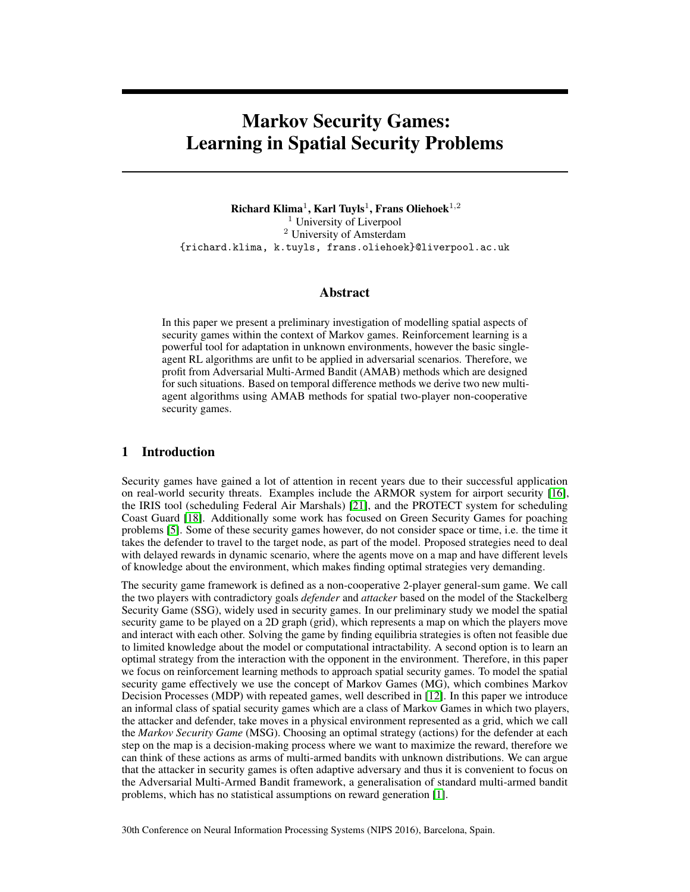# Markov Security Games: Learning in Spatial Security Problems

Richard Klima<sup>1</sup>, Karl Tuyls<sup>1</sup>, Frans Oliehoek<sup>1,2</sup> <sup>1</sup> University of Liverpool <sup>2</sup> University of Amsterdam {richard.klima, k.tuyls, frans.oliehoek}@liverpool.ac.uk

## Abstract

In this paper we present a preliminary investigation of modelling spatial aspects of security games within the context of Markov games. Reinforcement learning is a powerful tool for adaptation in unknown environments, however the basic singleagent RL algorithms are unfit to be applied in adversarial scenarios. Therefore, we profit from Adversarial Multi-Armed Bandit (AMAB) methods which are designed for such situations. Based on temporal difference methods we derive two new multiagent algorithms using AMAB methods for spatial two-player non-cooperative security games.

# 1 Introduction

Security games have gained a lot of attention in recent years due to their successful application on real-world security threats. Examples include the ARMOR system for airport security [\[16\]](#page-6-0), the IRIS tool (scheduling Federal Air Marshals) [\[21\]](#page-7-0), and the PROTECT system for scheduling Coast Guard [\[18\]](#page-6-1). Additionally some work has focused on Green Security Games for poaching problems [\[5\]](#page-6-2). Some of these security games however, do not consider space or time, i.e. the time it takes the defender to travel to the target node, as part of the model. Proposed strategies need to deal with delayed rewards in dynamic scenario, where the agents move on a map and have different levels of knowledge about the environment, which makes finding optimal strategies very demanding.

The security game framework is defined as a non-cooperative 2-player general-sum game. We call the two players with contradictory goals *defender* and *attacker* based on the model of the Stackelberg Security Game (SSG), widely used in security games. In our preliminary study we model the spatial security game to be played on a 2D graph (grid), which represents a map on which the players move and interact with each other. Solving the game by finding equilibria strategies is often not feasible due to limited knowledge about the model or computational intractability. A second option is to learn an optimal strategy from the interaction with the opponent in the environment. Therefore, in this paper we focus on reinforcement learning methods to approach spatial security games. To model the spatial security game effectively we use the concept of Markov Games (MG), which combines Markov Decision Processes (MDP) with repeated games, well described in [\[12\]](#page-6-3). In this paper we introduce an informal class of spatial security games which are a class of Markov Games in which two players, the attacker and defender, take moves in a physical environment represented as a grid, which we call the *Markov Security Game* (MSG). Choosing an optimal strategy (actions) for the defender at each step on the map is a decision-making process where we want to maximize the reward, therefore we can think of these actions as arms of multi-armed bandits with unknown distributions. We can argue that the attacker in security games is often adaptive adversary and thus it is convenient to focus on the Adversarial Multi-Armed Bandit framework, a generalisation of standard multi-armed bandit problems, which has no statistical assumptions on reward generation [\[1\]](#page-6-4).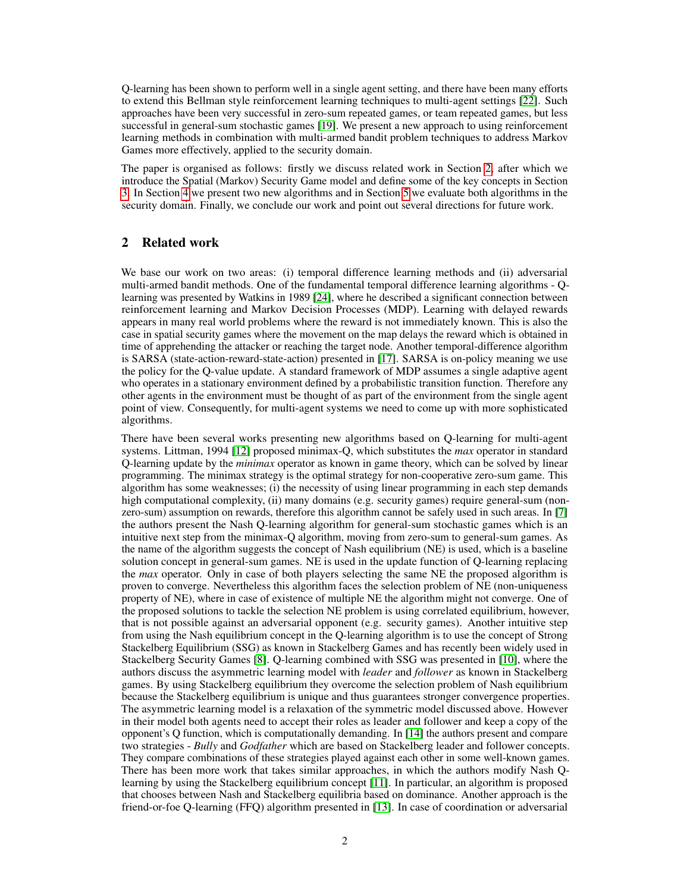Q-learning has been shown to perform well in a single agent setting, and there have been many efforts to extend this Bellman style reinforcement learning techniques to multi-agent settings [\[22\]](#page-7-1). Such approaches have been very successful in zero-sum repeated games, or team repeated games, but less successful in general-sum stochastic games [\[19\]](#page-6-5). We present a new approach to using reinforcement learning methods in combination with multi-armed bandit problem techniques to address Markov Games more effectively, applied to the security domain.

The paper is organised as follows: firstly we discuss related work in Section [2,](#page-1-0) after which we introduce the Spatial (Markov) Security Game model and define some of the key concepts in Section [3.](#page-2-0) In Section [4](#page-3-0) we present two new algorithms and in Section [5](#page-4-0) we evaluate both algorithms in the security domain. Finally, we conclude our work and point out several directions for future work.

# <span id="page-1-0"></span>2 Related work

We base our work on two areas: (i) temporal difference learning methods and (ii) adversarial multi-armed bandit methods. One of the fundamental temporal difference learning algorithms - Qlearning was presented by Watkins in 1989 [\[24\]](#page-7-2), where he described a significant connection between reinforcement learning and Markov Decision Processes (MDP). Learning with delayed rewards appears in many real world problems where the reward is not immediately known. This is also the case in spatial security games where the movement on the map delays the reward which is obtained in time of apprehending the attacker or reaching the target node. Another temporal-difference algorithm is SARSA (state-action-reward-state-action) presented in [\[17\]](#page-6-6). SARSA is on-policy meaning we use the policy for the Q-value update. A standard framework of MDP assumes a single adaptive agent who operates in a stationary environment defined by a probabilistic transition function. Therefore any other agents in the environment must be thought of as part of the environment from the single agent point of view. Consequently, for multi-agent systems we need to come up with more sophisticated algorithms.

There have been several works presenting new algorithms based on Q-learning for multi-agent systems. Littman, 1994 [\[12\]](#page-6-3) proposed minimax-Q, which substitutes the *max* operator in standard Q-learning update by the *minimax* operator as known in game theory, which can be solved by linear programming. The minimax strategy is the optimal strategy for non-cooperative zero-sum game. This algorithm has some weaknesses; (i) the necessity of using linear programming in each step demands high computational complexity, (ii) many domains (e.g. security games) require general-sum (nonzero-sum) assumption on rewards, therefore this algorithm cannot be safely used in such areas. In [\[7\]](#page-6-7) the authors present the Nash Q-learning algorithm for general-sum stochastic games which is an intuitive next step from the minimax-Q algorithm, moving from zero-sum to general-sum games. As the name of the algorithm suggests the concept of Nash equilibrium (NE) is used, which is a baseline solution concept in general-sum games. NE is used in the update function of Q-learning replacing the *max* operator. Only in case of both players selecting the same NE the proposed algorithm is proven to converge. Nevertheless this algorithm faces the selection problem of NE (non-uniqueness property of NE), where in case of existence of multiple NE the algorithm might not converge. One of the proposed solutions to tackle the selection NE problem is using correlated equilibrium, however, that is not possible against an adversarial opponent (e.g. security games). Another intuitive step from using the Nash equilibrium concept in the Q-learning algorithm is to use the concept of Strong Stackelberg Equilibrium (SSG) as known in Stackelberg Games and has recently been widely used in Stackelberg Security Games [\[8\]](#page-6-8). Q-learning combined with SSG was presented in [\[10\]](#page-6-9), where the authors discuss the asymmetric learning model with *leader* and *follower* as known in Stackelberg games. By using Stackelberg equilibrium they overcome the selection problem of Nash equilibrium because the Stackelberg equilibrium is unique and thus guarantees stronger convergence properties. The asymmetric learning model is a relaxation of the symmetric model discussed above. However in their model both agents need to accept their roles as leader and follower and keep a copy of the opponent's Q function, which is computationally demanding. In [\[14\]](#page-6-10) the authors present and compare two strategies - *Bully* and *Godfather* which are based on Stackelberg leader and follower concepts. They compare combinations of these strategies played against each other in some well-known games. There has been more work that takes similar approaches, in which the authors modify Nash Qlearning by using the Stackelberg equilibrium concept [\[11\]](#page-6-11). In particular, an algorithm is proposed that chooses between Nash and Stackelberg equilibria based on dominance. Another approach is the friend-or-foe Q-learning (FFQ) algorithm presented in [\[13\]](#page-6-12). In case of coordination or adversarial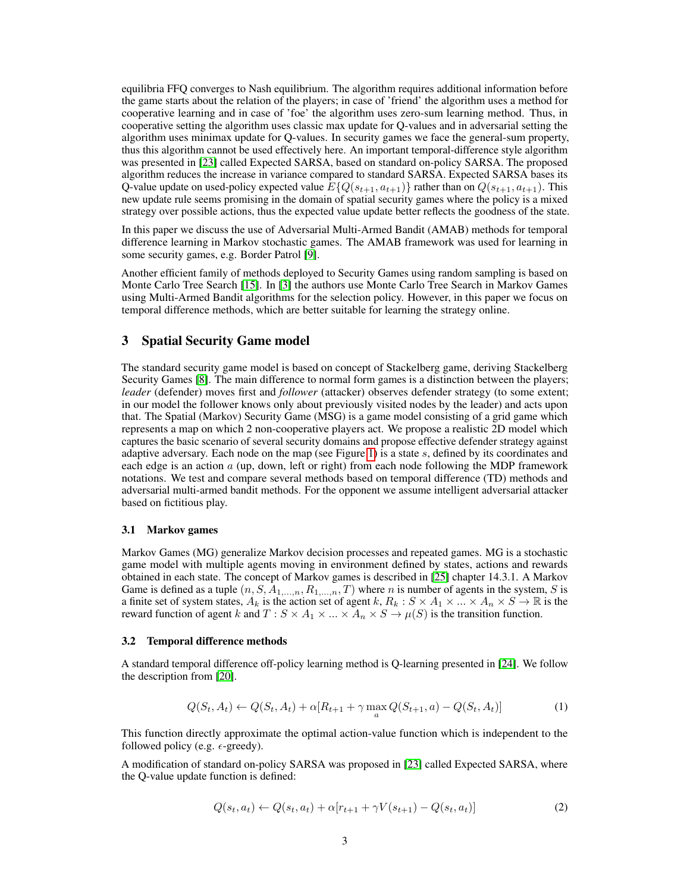equilibria FFQ converges to Nash equilibrium. The algorithm requires additional information before the game starts about the relation of the players; in case of 'friend' the algorithm uses a method for cooperative learning and in case of 'foe' the algorithm uses zero-sum learning method. Thus, in cooperative setting the algorithm uses classic max update for Q-values and in adversarial setting the algorithm uses minimax update for Q-values. In security games we face the general-sum property, thus this algorithm cannot be used effectively here. An important temporal-difference style algorithm was presented in [\[23\]](#page-7-3) called Expected SARSA, based on standard on-policy SARSA. The proposed algorithm reduces the increase in variance compared to standard SARSA. Expected SARSA bases its Q-value update on used-policy expected value  $E\{Q(s_{t+1}, a_{t+1})\}$  rather than on  $Q(s_{t+1}, a_{t+1})$ . This new update rule seems promising in the domain of spatial security games where the policy is a mixed strategy over possible actions, thus the expected value update better reflects the goodness of the state.

In this paper we discuss the use of Adversarial Multi-Armed Bandit (AMAB) methods for temporal difference learning in Markov stochastic games. The AMAB framework was used for learning in some security games, e.g. Border Patrol [\[9\]](#page-6-13).

Another efficient family of methods deployed to Security Games using random sampling is based on Monte Carlo Tree Search [\[15\]](#page-6-14). In [\[3\]](#page-6-15) the authors use Monte Carlo Tree Search in Markov Games using Multi-Armed Bandit algorithms for the selection policy. However, in this paper we focus on temporal difference methods, which are better suitable for learning the strategy online.

## <span id="page-2-0"></span>3 Spatial Security Game model

The standard security game model is based on concept of Stackelberg game, deriving Stackelberg Security Games [\[8\]](#page-6-8). The main difference to normal form games is a distinction between the players; *leader* (defender) moves first and *follower* (attacker) observes defender strategy (to some extent; in our model the follower knows only about previously visited nodes by the leader) and acts upon that. The Spatial (Markov) Security Game (MSG) is a game model consisting of a grid game which represents a map on which 2 non-cooperative players act. We propose a realistic 2D model which captures the basic scenario of several security domains and propose effective defender strategy against adaptive adversary. Each node on the map (see Figure [1\)](#page-5-0) is a state  $s$ , defined by its coordinates and each edge is an action  $\alpha$  (up, down, left or right) from each node following the MDP framework notations. We test and compare several methods based on temporal difference (TD) methods and adversarial multi-armed bandit methods. For the opponent we assume intelligent adversarial attacker based on fictitious play.

## 3.1 Markov games

Markov Games (MG) generalize Markov decision processes and repeated games. MG is a stochastic game model with multiple agents moving in environment defined by states, actions and rewards obtained in each state. The concept of Markov games is described in [\[25\]](#page-7-4) chapter 14.3.1. A Markov Game is defined as a tuple  $(n, S, A_{1,...,n}, R_{1,...,n}, T)$  where n is number of agents in the system, S is a finite set of system states,  $A_k$  is the action set of agent k,  $R_k : S \times A_1 \times ... \times A_n \times S \to \mathbb{R}$  is the reward function of agent k and  $T : S \times A_1 \times ... \times A_n \times S \to \mu(S)$  is the transition function.

#### 3.2 Temporal difference methods

A standard temporal difference off-policy learning method is Q-learning presented in [\[24\]](#page-7-2). We follow the description from [\[20\]](#page-7-5).

<span id="page-2-1"></span>
$$
Q(S_t, A_t) \leftarrow Q(S_t, A_t) + \alpha [R_{t+1} + \gamma \max_a Q(S_{t+1}, a) - Q(S_t, A_t)] \tag{1}
$$

This function directly approximate the optimal action-value function which is independent to the followed policy (e.g.  $\epsilon$ -greedy).

A modification of standard on-policy SARSA was proposed in [\[23\]](#page-7-3) called Expected SARSA, where the Q-value update function is defined:

$$
Q(s_t, a_t) \leftarrow Q(s_t, a_t) + \alpha[r_{t+1} + \gamma V(s_{t+1}) - Q(s_t, a_t)] \tag{2}
$$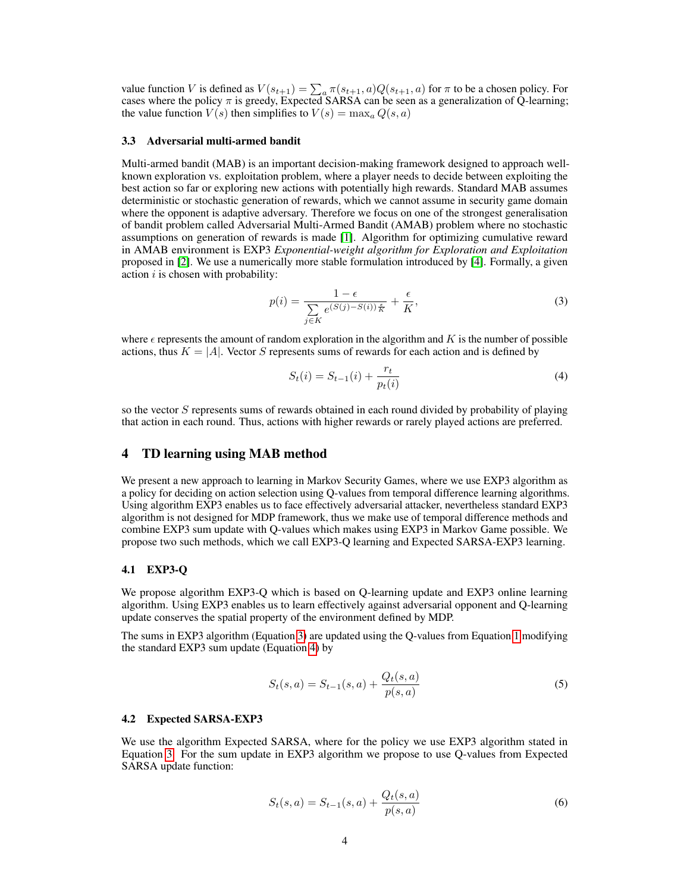value function V is defined as  $V(s_{t+1}) = \sum_a \pi(s_{t+1}, a) Q(s_{t+1}, a)$  for  $\pi$  to be a chosen policy. For cases where the policy  $\pi$  is greedy, Expected SARSA can be seen as a generalization of Q-learning; the value function  $V(s)$  then simplifies to  $V(s) = \max_a Q(s, a)$ 

#### 3.3 Adversarial multi-armed bandit

Multi-armed bandit (MAB) is an important decision-making framework designed to approach wellknown exploration vs. exploitation problem, where a player needs to decide between exploiting the best action so far or exploring new actions with potentially high rewards. Standard MAB assumes deterministic or stochastic generation of rewards, which we cannot assume in security game domain where the opponent is adaptive adversary. Therefore we focus on one of the strongest generalisation of bandit problem called Adversarial Multi-Armed Bandit (AMAB) problem where no stochastic assumptions on generation of rewards is made [\[1\]](#page-6-4). Algorithm for optimizing cumulative reward in AMAB environment is EXP3 *Exponential-weight algorithm for Exploration and Exploitation* proposed in [\[2\]](#page-6-16). We use a numerically more stable formulation introduced by [\[4\]](#page-6-17). Formally, a given action  $i$  is chosen with probability:

<span id="page-3-1"></span>
$$
p(i) = \frac{1 - \epsilon}{\sum_{j \in K} e^{(S(j) - S(i))\frac{\epsilon}{K}}} + \frac{\epsilon}{K},\tag{3}
$$

where  $\epsilon$  represents the amount of random exploration in the algorithm and K is the number of possible actions, thus  $K = |A|$ . Vector S represents sums of rewards for each action and is defined by

<span id="page-3-2"></span>
$$
S_t(i) = S_{t-1}(i) + \frac{r_t}{p_t(i)}
$$
\n(4)

so the vector S represents sums of rewards obtained in each round divided by probability of playing that action in each round. Thus, actions with higher rewards or rarely played actions are preferred.

### <span id="page-3-0"></span>4 TD learning using MAB method

We present a new approach to learning in Markov Security Games, where we use EXP3 algorithm as a policy for deciding on action selection using Q-values from temporal difference learning algorithms. Using algorithm EXP3 enables us to face effectively adversarial attacker, nevertheless standard EXP3 algorithm is not designed for MDP framework, thus we make use of temporal difference methods and combine EXP3 sum update with Q-values which makes using EXP3 in Markov Game possible. We propose two such methods, which we call EXP3-Q learning and Expected SARSA-EXP3 learning.

#### 4.1 EXP3-Q

We propose algorithm EXP3-Q which is based on Q-learning update and EXP3 online learning algorithm. Using EXP3 enables us to learn effectively against adversarial opponent and Q-learning update conserves the spatial property of the environment defined by MDP.

The sums in EXP3 algorithm (Equation [3\)](#page-3-1) are updated using the Q-values from Equation [1](#page-2-1) modifying the standard EXP3 sum update (Equation [4\)](#page-3-2) by

$$
S_t(s, a) = S_{t-1}(s, a) + \frac{Q_t(s, a)}{p(s, a)}
$$
\n<sup>(5)</sup>

#### 4.2 Expected SARSA-EXP3

We use the algorithm Expected SARSA, where for the policy we use EXP3 algorithm stated in Equation [3.](#page-3-1) For the sum update in EXP3 algorithm we propose to use Q-values from Expected SARSA update function:

$$
S_t(s, a) = S_{t-1}(s, a) + \frac{Q_t(s, a)}{p(s, a)}
$$
\n<sup>(6)</sup>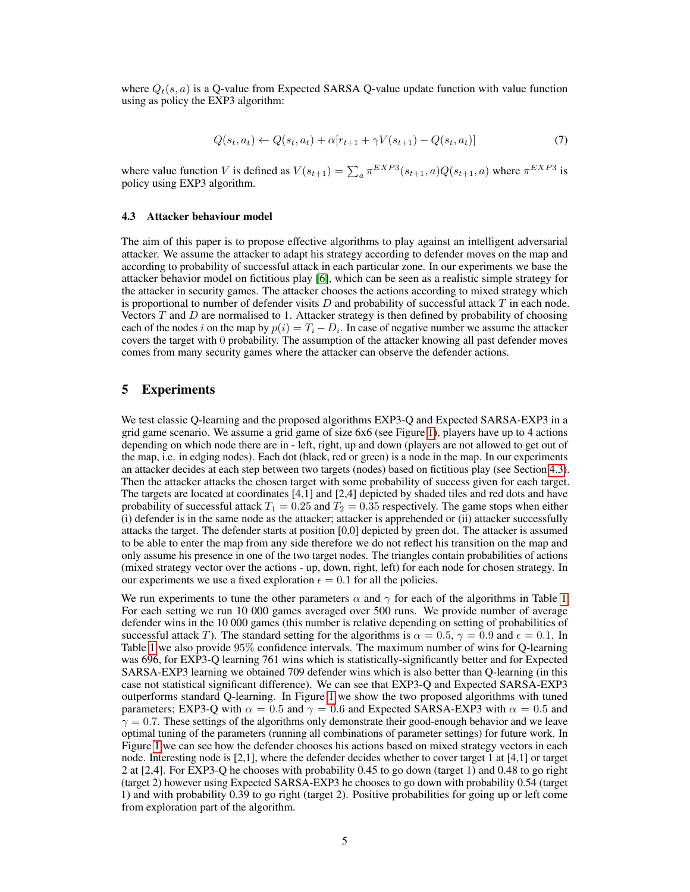where  $Q_t(s, a)$  is a O-value from Expected SARSA O-value update function with value function using as policy the EXP3 algorithm:

$$
Q(s_t, a_t) \leftarrow Q(s_t, a_t) + \alpha[r_{t+1} + \gamma V(s_{t+1}) - Q(s_t, a_t)] \tag{7}
$$

where value function V is defined as  $V(s_{t+1}) = \sum_a \pi^{EXP3}(s_{t+1}, a)Q(s_{t+1}, a)$  where  $\pi^{EXP3}$  is policy using EXP3 algorithm.

#### <span id="page-4-1"></span>4.3 Attacker behaviour model

The aim of this paper is to propose effective algorithms to play against an intelligent adversarial attacker. We assume the attacker to adapt his strategy according to defender moves on the map and according to probability of successful attack in each particular zone. In our experiments we base the attacker behavior model on fictitious play [\[6\]](#page-6-18), which can be seen as a realistic simple strategy for the attacker in security games. The attacker chooses the actions according to mixed strategy which is proportional to number of defender visits  $D$  and probability of successful attack  $T$  in each node. Vectors  $T$  and  $D$  are normalised to 1. Attacker strategy is then defined by probability of choosing each of the nodes i on the map by  $p(i) = T_i - D_i$ . In case of negative number we assume the attacker covers the target with 0 probability. The assumption of the attacker knowing all past defender moves comes from many security games where the attacker can observe the defender actions.

## <span id="page-4-0"></span>5 Experiments

We test classic Q-learning and the proposed algorithms EXP3-Q and Expected SARSA-EXP3 in a grid game scenario. We assume a grid game of size 6x6 (see Figure [1\)](#page-5-0), players have up to 4 actions depending on which node there are in - left, right, up and down (players are not allowed to get out of the map, i.e. in edging nodes). Each dot (black, red or green) is a node in the map. In our experiments an attacker decides at each step between two targets (nodes) based on fictitious play (see Section [4.3\)](#page-4-1). Then the attacker attacks the chosen target with some probability of success given for each target. The targets are located at coordinates [4,1] and [2,4] depicted by shaded tiles and red dots and have probability of successful attack  $T_1 = 0.25$  and  $T_2 = 0.35$  respectively. The game stops when either (i) defender is in the same node as the attacker; attacker is apprehended or (ii) attacker successfully attacks the target. The defender starts at position [0,0] depicted by green dot. The attacker is assumed to be able to enter the map from any side therefore we do not reflect his transition on the map and only assume his presence in one of the two target nodes. The triangles contain probabilities of actions (mixed strategy vector over the actions - up, down, right, left) for each node for chosen strategy. In our experiments we use a fixed exploration  $\epsilon = 0.1$  for all the policies.

We run experiments to tune the other parameters  $\alpha$  and  $\gamma$  for each of the algorithms in Table [1.](#page-5-1) For each setting we run 10 000 games averaged over 500 runs. We provide number of average defender wins in the 10 000 games (this number is relative depending on setting of probabilities of successful attack T). The standard setting for the algorithms is  $\alpha = 0.5$ ,  $\gamma = 0.9$  and  $\epsilon = 0.1$ . In Table [1](#page-5-1) we also provide 95% confidence intervals. The maximum number of wins for Q-learning was 696, for EXP3-Q learning 761 wins which is statistically-significantly better and for Expected SARSA-EXP3 learning we obtained 709 defender wins which is also better than Q-learning (in this case not statistical significant difference). We can see that EXP3-Q and Expected SARSA-EXP3 outperforms standard Q-learning. In Figure [1](#page-5-0) we show the two proposed algorithms with tuned parameters; EXP3-Q with  $\alpha = 0.5$  and  $\gamma = 0.6$  and Expected SARSA-EXP3 with  $\alpha = 0.5$  and  $\gamma = 0.7$ . These settings of the algorithms only demonstrate their good-enough behavior and we leave optimal tuning of the parameters (running all combinations of parameter settings) for future work. In Figure [1](#page-5-0) we can see how the defender chooses his actions based on mixed strategy vectors in each node. Interesting node is [2,1], where the defender decides whether to cover target 1 at [4,1] or target 2 at [2,4]. For EXP3-Q he chooses with probability 0.45 to go down (target 1) and 0.48 to go right (target 2) however using Expected SARSA-EXP3 he chooses to go down with probability 0.54 (target 1) and with probability 0.39 to go right (target 2). Positive probabilities for going up or left come from exploration part of the algorithm.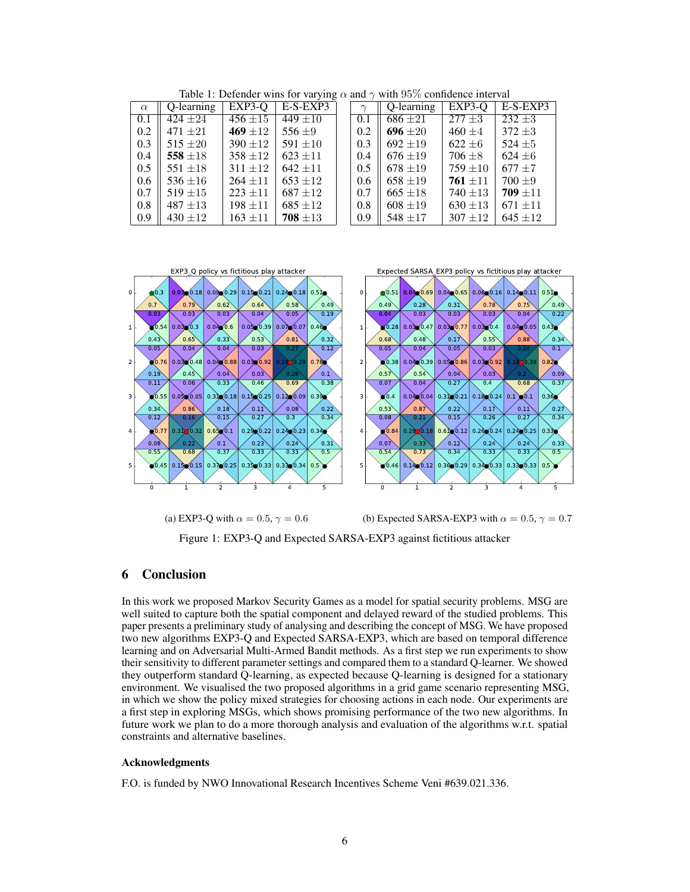<span id="page-5-1"></span>

| $\alpha$ | Q-learning   | $EXP3-O$     | $E-S-EXP3$   |     | Q-learning   | $EXP3-O$     | $E-S-EXP3$   |
|----------|--------------|--------------|--------------|-----|--------------|--------------|--------------|
| 0.1      | $424 + 24$   | $456 \pm 15$ | $449 + 10$   | 0.1 | $686 \pm 21$ | $277 \pm 3$  | $232 \pm 3$  |
| 0.2      | $471 + 21$   | 469 $\pm 12$ | $556 + 9$    | 0.2 | 696 $\pm 20$ | $460 \pm 4$  | $372 \pm 3$  |
| 0.3      | $515 \pm 20$ | $390 \pm 12$ | 591 $\pm 10$ | 0.3 | $692 \pm 19$ | $622 \pm 6$  | $524 \pm 5$  |
| 0.4      | 558 $\pm 18$ | $358 + 12$   | $623 + 11$   | 0.4 | $676 + 19$   | $706 \pm 8$  | $624 \pm 6$  |
| 0.5      | $551 \pm 18$ | $311 \pm 12$ | $642 + 11$   | 0.5 | $678 \pm 19$ | $759 \pm 10$ | $677 + 7$    |
| 0.6      | 536 $\pm 16$ | $264 + 11$   | $653 + 12$   | 0.6 | $658 \pm 19$ | $761 + 11$   | $700 + 9$    |
| 0.7      | $519 \pm 15$ | $223 + 11$   | $687 + 12$   | 0.7 | $665 \pm 18$ | $740 \pm 13$ | $709 + 11$   |
| 0.8      | $487 + 13$   | $198 \pm 11$ | $685 \pm 12$ | 0.8 | $608 \pm 19$ | $630 \pm 13$ | $671 + 11$   |
| 0.9      | $430 \pm 12$ | $163 + 11$   | $708 \pm 13$ | 0.9 | 548 $\pm$ 17 | $307 \pm 12$ | $645 \pm 12$ |

Table 1: Defender wins for varying  $\alpha$  and  $\gamma$  with 95% confidence interval

<span id="page-5-0"></span>

6 Conclusion

In this work we proposed Markov Security Games as a model for spatial security problems. MSG are well suited to capture both the spatial component and delayed reward of the studied problems. This paper presents a preliminary study of analysing and describing the concept of MSG. We have proposed two new algorithms EXP3-Q and Expected SARSA-EXP3, which are based on temporal difference learning and on Adversarial Multi-Armed Bandit methods. As a first step we run experiments to show their sensitivity to different parameter settings and compared them to a standard Q-learner. We showed they outperform standard Q-learning, as expected because Q-learning is designed for a stationary environment. We visualised the two proposed algorithms in a grid game scenario representing MSG, in which we show the policy mixed strategies for choosing actions in each node. Our experiments are a first step in exploring MSGs, which shows promising performance of the two new algorithms. In future work we plan to do a more thorough analysis and evaluation of the algorithms w.r.t. spatial constraints and alternative baselines.

Figure 1: EXP3-Q and Expected SARSA-EXP3 against fictitious attacker

## Acknowledgments

F.O. is funded by NWO Innovational Research Incentives Scheme Veni #639.021.336.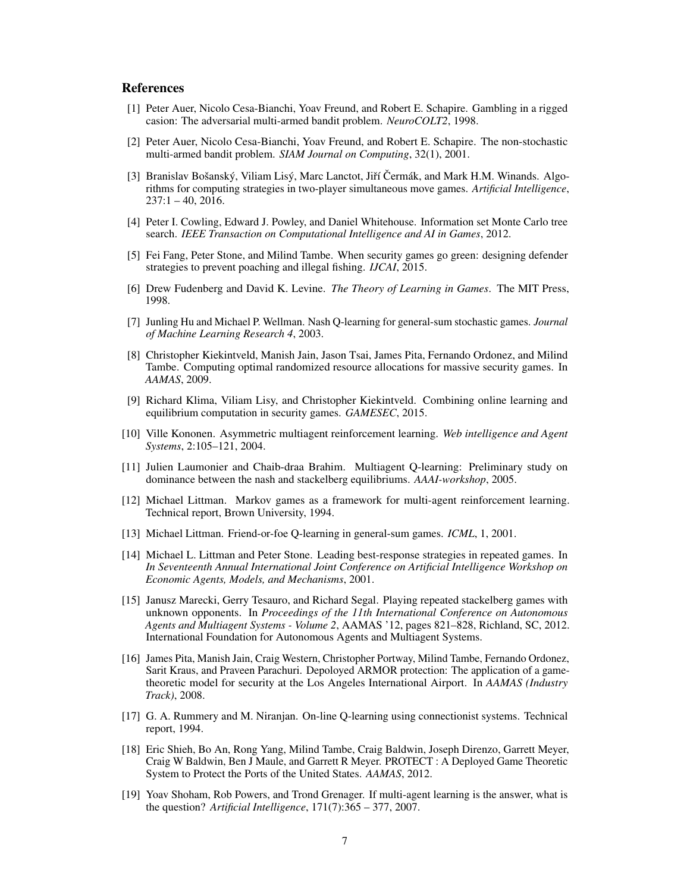### References

- <span id="page-6-4"></span>[1] Peter Auer, Nicolo Cesa-Bianchi, Yoav Freund, and Robert E. Schapire. Gambling in a rigged casion: The adversarial multi-armed bandit problem. *NeuroCOLT2*, 1998.
- <span id="page-6-16"></span>[2] Peter Auer, Nicolo Cesa-Bianchi, Yoav Freund, and Robert E. Schapire. The non-stochastic multi-armed bandit problem. *SIAM Journal on Computing*, 32(1), 2001.
- <span id="page-6-15"></span>[3] Branislav Bošanský, Viliam Lisý, Marc Lanctot, Jiří Čermák, and Mark H.M. Winands. Algorithms for computing strategies in two-player simultaneous move games. *Artificial Intelligence*,  $237:1 - 40, 2016.$
- <span id="page-6-17"></span>[4] Peter I. Cowling, Edward J. Powley, and Daniel Whitehouse. Information set Monte Carlo tree search. *IEEE Transaction on Computational Intelligence and AI in Games*, 2012.
- <span id="page-6-2"></span>[5] Fei Fang, Peter Stone, and Milind Tambe. When security games go green: designing defender strategies to prevent poaching and illegal fishing. *IJCAI*, 2015.
- <span id="page-6-18"></span>[6] Drew Fudenberg and David K. Levine. *The Theory of Learning in Games*. The MIT Press, 1998.
- <span id="page-6-7"></span>[7] Junling Hu and Michael P. Wellman. Nash Q-learning for general-sum stochastic games. *Journal of Machine Learning Research 4*, 2003.
- <span id="page-6-8"></span>[8] Christopher Kiekintveld, Manish Jain, Jason Tsai, James Pita, Fernando Ordonez, and Milind Tambe. Computing optimal randomized resource allocations for massive security games. In *AAMAS*, 2009.
- <span id="page-6-13"></span>[9] Richard Klima, Viliam Lisy, and Christopher Kiekintveld. Combining online learning and equilibrium computation in security games. *GAMESEC*, 2015.
- <span id="page-6-9"></span>[10] Ville Kononen. Asymmetric multiagent reinforcement learning. *Web intelligence and Agent Systems*, 2:105–121, 2004.
- <span id="page-6-11"></span>[11] Julien Laumonier and Chaib-draa Brahim. Multiagent Q-learning: Preliminary study on dominance between the nash and stackelberg equilibriums. *AAAI-workshop*, 2005.
- <span id="page-6-3"></span>[12] Michael Littman. Markov games as a framework for multi-agent reinforcement learning. Technical report, Brown University, 1994.
- <span id="page-6-12"></span>[13] Michael Littman. Friend-or-foe Q-learning in general-sum games. *ICML*, 1, 2001.
- <span id="page-6-10"></span>[14] Michael L. Littman and Peter Stone. Leading best-response strategies in repeated games. In *In Seventeenth Annual International Joint Conference on Artificial Intelligence Workshop on Economic Agents, Models, and Mechanisms*, 2001.
- <span id="page-6-14"></span>[15] Janusz Marecki, Gerry Tesauro, and Richard Segal. Playing repeated stackelberg games with unknown opponents. In *Proceedings of the 11th International Conference on Autonomous Agents and Multiagent Systems - Volume 2*, AAMAS '12, pages 821–828, Richland, SC, 2012. International Foundation for Autonomous Agents and Multiagent Systems.
- <span id="page-6-0"></span>[16] James Pita, Manish Jain, Craig Western, Christopher Portway, Milind Tambe, Fernando Ordonez, Sarit Kraus, and Praveen Parachuri. Depoloyed ARMOR protection: The application of a gametheoretic model for security at the Los Angeles International Airport. In *AAMAS (Industry Track)*, 2008.
- <span id="page-6-6"></span>[17] G. A. Rummery and M. Niranjan. On-line Q-learning using connectionist systems. Technical report, 1994.
- <span id="page-6-1"></span>[18] Eric Shieh, Bo An, Rong Yang, Milind Tambe, Craig Baldwin, Joseph Direnzo, Garrett Meyer, Craig W Baldwin, Ben J Maule, and Garrett R Meyer. PROTECT : A Deployed Game Theoretic System to Protect the Ports of the United States. *AAMAS*, 2012.
- <span id="page-6-5"></span>[19] Yoav Shoham, Rob Powers, and Trond Grenager. If multi-agent learning is the answer, what is the question? *Artificial Intelligence*, 171(7):365 – 377, 2007.